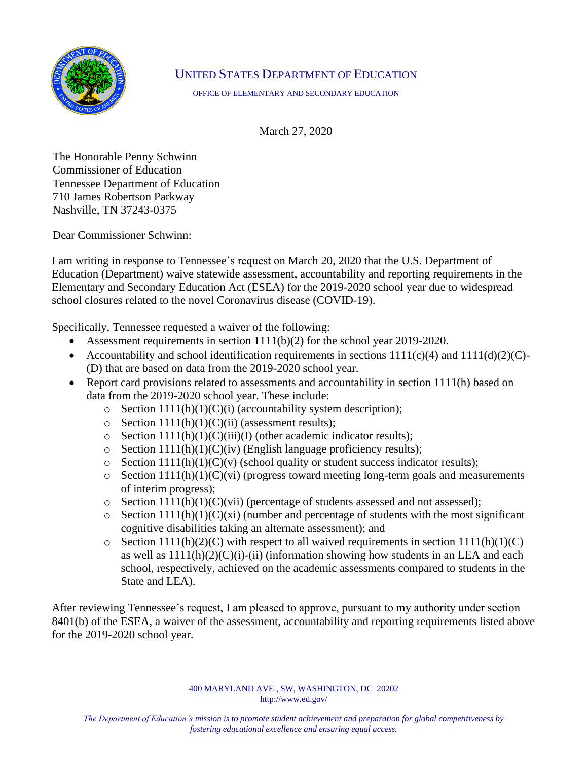

## UNITED STATES DEPARTMENT OF EDUCATION

OFFICE OF ELEMENTARY AND SECONDARY EDUCATION

March 27, 2020

The Honorable Penny Schwinn Commissioner of Education Tennessee Department of Education 710 James Robertson Parkway Nashville, TN 37243-0375

Dear Commissioner Schwinn:

I am writing in response to Tennessee's request on March 20, 2020 that the U.S. Department of Education (Department) waive statewide assessment, accountability and reporting requirements in the Elementary and Secondary Education Act (ESEA) for the 2019-2020 school year due to widespread school closures related to the novel Coronavirus disease (COVID-19).

Specifically, Tennessee requested a waiver of the following:

- Assessment requirements in section  $1111(b)(2)$  for the school year 2019-2020.
- Accountability and school identification requirements in sections  $1111(c)(4)$  and  $1111(d)(2)(C)$ -(D) that are based on data from the 2019-2020 school year.
- Report card provisions related to assessments and accountability in section 1111(h) based on data from the 2019-2020 school year. These include:
	- $\circ$  Section 1111(h)(1)(C)(i) (accountability system description);
	- $\circ$  Section 1111(h)(1)(C)(ii) (assessment results);
	- $\circ$  Section 1111(h)(1)(C)(iii)(I) (other academic indicator results);
	- $\circ$  Section 1111(h)(1)(C)(iv) (English language proficiency results);
	- $\circ$  Section 1111(h)(1)(C)(v) (school quality or student success indicator results);
	- $\circ$  Section 1111(h)(1)(C)(vi) (progress toward meeting long-term goals and measurements of interim progress);
	- $\circ$  Section 1111(h)(1)(C)(vii) (percentage of students assessed and not assessed);
	- $\circ$  Section 1111(h)(1)(C)(xi) (number and percentage of students with the most significant cognitive disabilities taking an alternate assessment); and
	- $\circ$  Section 1111(h)(2)(C) with respect to all waived requirements in section 1111(h)(1)(C) as well as  $1111(h)(2)(C)(i)$ -(ii) (information showing how students in an LEA and each school, respectively, achieved on the academic assessments compared to students in the State and LEA).

After reviewing Tennessee's request, I am pleased to approve, pursuant to my authority under section 8401(b) of the ESEA, a waiver of the assessment, accountability and reporting requirements listed above for the 2019-2020 school year.

> 400 MARYLAND AVE., SW, WASHINGTON, DC 20202 http://www.ed.gov/